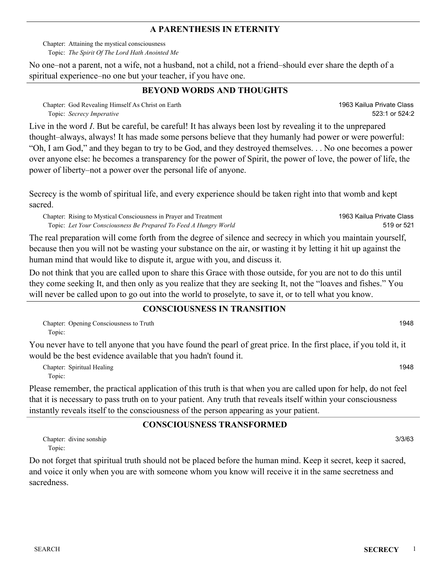#### **A PARENTHESIS IN ETERNITY**

Attaining the mystical consciousness Chapter: *The Spirit Of The Lord Hath Anointed Me* Topic:

No one–not a parent, not a wife, not a husband, not a child, not a friend–should ever share the depth of a spiritual experience–no one but your teacher, if you have one.

## **BEYOND WORDS AND THOUGHTS**

Chapter: God Revealing Himself As Christ on Earth *Secrecy Imperative* Topic:

Live in the word *I*. But be careful, be careful! It has always been lost by revealing it to the unprepared thought–always, always! It has made some persons believe that they humanly had power or were powerful: "Oh, I am God," and they began to try to be God, and they destroyed themselves. . . No one becomes a power over anyone else: he becomes a transparency for the power of Spirit, the power of love, the power of life, the power of liberty–not a power over the personal life of anyone.

Secrecy is the womb of spiritual life, and every experience should be taken right into that womb and kept sacred.

Chapter: Rising to Mystical Consciousness in Prayer and Treatment *Let Your Consciousness Be Prepared To Feed A Hungry World* Topic:

The real preparation will come forth from the degree of silence and secrecy in which you maintain yourself, because then you will not be wasting your substance on the air, or wasting it by letting it hit up against the human mind that would like to dispute it, argue with you, and discuss it.

Do not think that you are called upon to share this Grace with those outside, for you are not to do this until they come seeking It, and then only as you realize that they are seeking It, not the "loaves and fishes." You will never be called upon to go out into the world to proselyte, to save it, or to tell what you know.

#### **CONSCIOUSNESS IN TRANSITION**

Chapter: Opening Consciousness to Truth 1948 Topic:

You never have to tell anyone that you have found the pearl of great price. In the first place, if you told it, it would be the best evidence available that you hadn't found it.

Chapter: Spiritual Healing 1948 Topic:

Please remember, the practical application of this truth is that when you are called upon for help, do not feel that it is necessary to pass truth on to your patient. Any truth that reveals itself within your consciousness instantly reveals itself to the consciousness of the person appearing as your patient.

### **CONSCIOUSNESS TRANSFORMED**

Chapter: divine sonship 3/3/63 Topic:

Do not forget that spiritual truth should not be placed before the human mind. Keep it secret, keep it sacred, and voice it only when you are with someone whom you know will receive it in the same secretness and sacredness.

1963 Kailua Private Class 519 or 521

1963 Kailua Private Class

523:1 or 524:2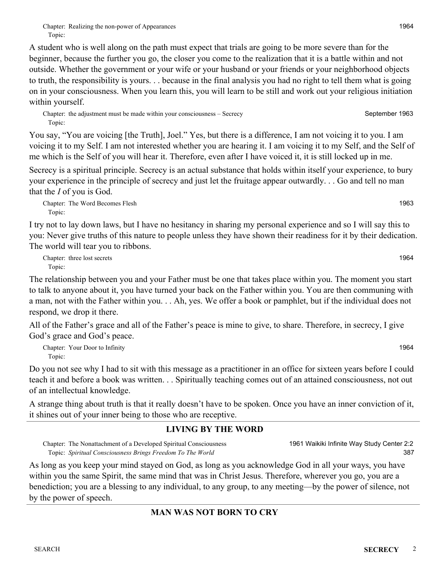A student who is well along on the path must expect that trials are going to be more severe than for the beginner, because the further you go, the closer you come to the realization that it is a battle within and not outside. Whether the government or your wife or your husband or your friends or your neighborhood objects to truth, the responsibility is yours. . . because in the final analysis you had no right to tell them what is going on in your consciousness. When you learn this, you will learn to be still and work out your religious initiation within yourself.

Chapter: the adjustment must be made within your consciousness – Secrecy September 1963 Topic:

You say, "You are voicing [the Truth], Joel." Yes, but there is a difference, I am not voicing it to you. I am voicing it to my Self. I am not interested whether you are hearing it. I am voicing it to my Self, and the Self of me which is the Self of you will hear it. Therefore, even after I have voiced it, it is still locked up in me.

Secrecy is a spiritual principle. Secrecy is an actual substance that holds within itself your experience, to bury your experience in the principle of secrecy and just let the fruitage appear outwardly. . . Go and tell no man that the *I* of you is God.

Chapter: The Word Becomes Flesh 1963 Topic:

I try not to lay down laws, but I have no hesitancy in sharing my personal experience and so I will say this to you: Never give truths of this nature to people unless they have shown their readiness for it by their dedication. The world will tear you to ribbons.

Chapter: three lost secrets 1964 Topic:

The relationship between you and your Father must be one that takes place within you. The moment you start to talk to anyone about it, you have turned your back on the Father within you. You are then communing with a man, not with the Father within you. . . Ah, yes. We offer a book or pamphlet, but if the individual does not respond, we drop it there.

All of the Father's grace and all of the Father's peace is mine to give, to share. Therefore, in secrecy, I give God's grace and God's peace.

Chapter: Your Door to Infinity 1964 Topic:

Do you not see why I had to sit with this message as a practitioner in an office for sixteen years before I could teach it and before a book was written. . . Spiritually teaching comes out of an attained consciousness, not out of an intellectual knowledge.

A strange thing about truth is that it really doesn't have to be spoken. Once you have an inner conviction of it, it shines out of your inner being to those who are receptive.

# **LIVING BY THE WORD**

Chapter: The Nonattachment of a Developed Spiritual Consciousness *Spiritual Consciousness Brings Freedom To The World* Topic: 1961 Waikiki Infinite Way Study Center 2:2

As long as you keep your mind stayed on God, as long as you acknowledge God in all your ways, you have within you the same Spirit, the same mind that was in Christ Jesus. Therefore, wherever you go, you are a benediction; you are a blessing to any individual, to any group, to any meeting—by the power of silence, not by the power of speech.

# **MAN WAS NOT BORN TO CRY**

387